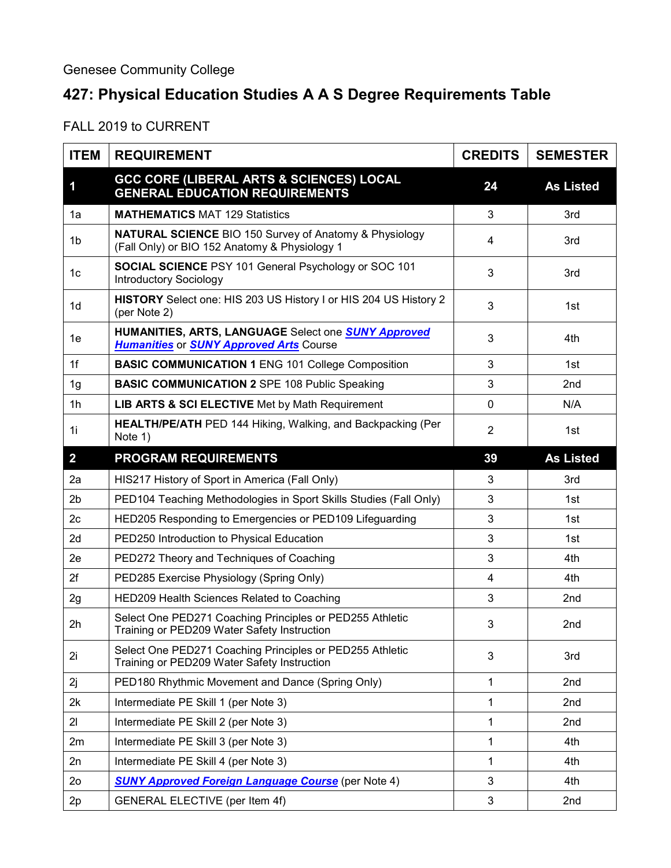## **427: Physical Education Studies A A S Degree Requirements Table**

FALL 2019 to CURRENT

| <b>ITEM</b>    | <b>REQUIREMENT</b>                                                                                                 | <b>CREDITS</b> | <b>SEMESTER</b>  |
|----------------|--------------------------------------------------------------------------------------------------------------------|----------------|------------------|
| 1              | <b>GCC CORE (LIBERAL ARTS &amp; SCIENCES) LOCAL</b><br><b>GENERAL EDUCATION REQUIREMENTS</b>                       | 24             | <b>As Listed</b> |
| 1a             | <b>MATHEMATICS MAT 129 Statistics</b>                                                                              | 3              | 3rd              |
| 1b             | <b>NATURAL SCIENCE BIO 150 Survey of Anatomy &amp; Physiology</b><br>(Fall Only) or BIO 152 Anatomy & Physiology 1 | 4              | 3rd              |
| 1c             | <b>SOCIAL SCIENCE PSY 101 General Psychology or SOC 101</b><br><b>Introductory Sociology</b>                       | 3              | 3rd              |
| 1 <sub>d</sub> | HISTORY Select one: HIS 203 US History I or HIS 204 US History 2<br>(per Note 2)                                   | 3              | 1st              |
| 1e             | HUMANITIES, ARTS, LANGUAGE Select one <b>SUNY Approved</b><br><b>Humanities or SUNY Approved Arts Course</b>       | 3              | 4th              |
| 1f             | <b>BASIC COMMUNICATION 1 ENG 101 College Composition</b>                                                           | 3              | 1st              |
| 1 <sub>g</sub> | <b>BASIC COMMUNICATION 2 SPE 108 Public Speaking</b>                                                               | 3              | 2nd              |
| 1 <sub>h</sub> | LIB ARTS & SCI ELECTIVE Met by Math Requirement                                                                    | $\mathbf 0$    | N/A              |
| 1i             | <b>HEALTH/PE/ATH</b> PED 144 Hiking, Walking, and Backpacking (Per<br>Note 1)                                      | $\overline{2}$ | 1st              |
| $\overline{2}$ | <b>PROGRAM REQUIREMENTS</b>                                                                                        | 39             | <b>As Listed</b> |
| 2a             | HIS217 History of Sport in America (Fall Only)                                                                     | 3              | 3rd              |
| 2 <sub>b</sub> | PED104 Teaching Methodologies in Sport Skills Studies (Fall Only)                                                  | 3              | 1st              |
| 2c             | HED205 Responding to Emergencies or PED109 Lifeguarding                                                            | 3              | 1st              |
| 2d             | PED250 Introduction to Physical Education                                                                          | 3              | 1st              |
| 2e             | PED272 Theory and Techniques of Coaching                                                                           | 3              | 4th              |
| 2f             | PED285 Exercise Physiology (Spring Only)                                                                           | 4              | 4th              |
| 2g             | HED209 Health Sciences Related to Coaching                                                                         | 3              | 2nd              |
| 2 <sub>h</sub> | Select One PED271 Coaching Principles or PED255 Athletic<br>Training or PED209 Water Safety Instruction            | 3              | 2nd              |
| 2i             | Select One PED271 Coaching Principles or PED255 Athletic<br>Training or PED209 Water Safety Instruction            | 3              | 3rd              |
| 2j             | PED180 Rhythmic Movement and Dance (Spring Only)                                                                   | 1              | 2nd              |
| 2k             | Intermediate PE Skill 1 (per Note 3)                                                                               | 1              | 2nd              |
| 21             | Intermediate PE Skill 2 (per Note 3)                                                                               | 1              | 2nd              |
| 2m             | Intermediate PE Skill 3 (per Note 3)                                                                               | 1              | 4th              |
| 2n             | Intermediate PE Skill 4 (per Note 3)                                                                               | 1              | 4th              |
| 2 <sub>o</sub> | <b>SUNY Approved Foreign Language Course</b> (per Note 4)                                                          | 3              | 4th              |
| 2p             | GENERAL ELECTIVE (per Item 4f)                                                                                     | 3              | 2nd              |